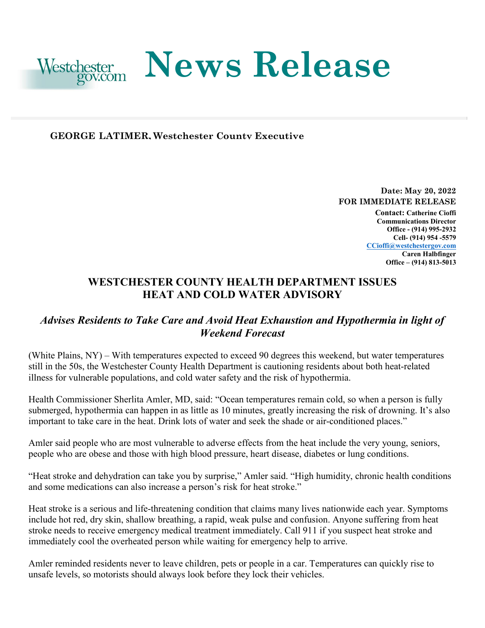

#### **GEORGE LATIMER, Westchester County Executive**

**Date: May 20, 2022 FOR IMMEDIATE RELEASE Contact: Catherine Cioffi** 

**Communications Director Office - (914) 995-2932 Cell- (914) 954 -5579 [CCioffi@westchestergov.com](mailto:CCioffi@westchestergov.com)  Caren Halbfinger Office – (914) 813-5013** 

# **WESTCHESTER COUNTY HEALTH DEPARTMENT ISSUES HEAT AND COLD WATER ADVISORY**

## *Advises Residents to Take Care and Avoid Heat Exhaustion and Hypothermia in light of Weekend Forecast*

(White Plains, NY) – With temperatures expected to exceed 90 degrees this weekend, but water temperatures still in the 50s, the Westchester County Health Department is cautioning residents about both heat-related illness for vulnerable populations, and cold water safety and the risk of hypothermia.

Health Commissioner Sherlita Amler, MD, said: "Ocean temperatures remain cold, so when a person is fully submerged, hypothermia can happen in as little as 10 minutes, greatly increasing the risk of drowning. It's also important to take care in the heat. Drink lots of water and seek the shade or air-conditioned places."

Amler said people who are most vulnerable to adverse effects from the heat include the very young, seniors, people who are obese and those with high blood pressure, heart disease, diabetes or lung conditions.

and some medications can also increase a person's risk for heat stroke." "Heat stroke and dehydration can take you by surprise," Amler said. "High humidity, chronic health conditions

 include hot red, dry skin, shallow breathing, a rapid, weak pulse and confusion. Anyone suffering from heat Heat stroke is a serious and life-threatening condition that claims many lives nationwide each year. Symptoms stroke needs to receive emergency medical treatment immediately. Call 911 if you suspect heat stroke and immediately cool the overheated person while waiting for emergency help to arrive.

 Amler reminded residents never to leave children, pets or people in a car. Temperatures can quickly rise to unsafe levels, so motorists should always look before they lock their vehicles.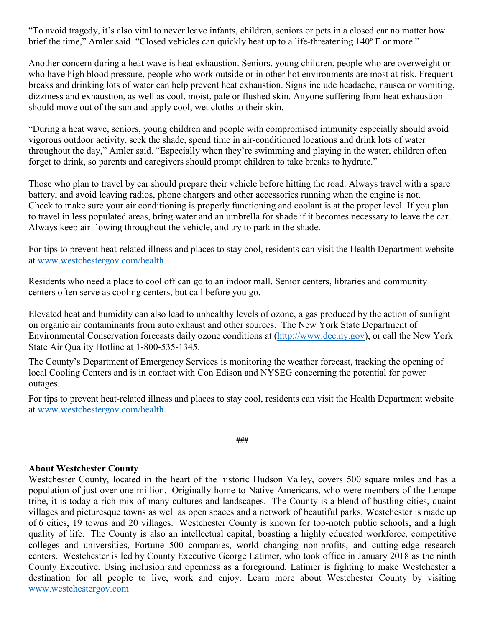brief the time." Amler said. "Closed vehicles can quickly heat up to a life-threatening 140° F or more." "To avoid tragedy, it's also vital to never leave infants, children, seniors or pets in a closed car no matter how

 breaks and drinking lots of water can help prevent heat exhaustion. Signs include headache, nausea or vomiting, Another concern during a heat wave is heat exhaustion. Seniors, young children, people who are overweight or who have high blood pressure, people who work outside or in other hot environments are most at risk. Frequent dizziness and exhaustion, as well as cool, moist, pale or flushed skin. Anyone suffering from heat exhaustion should move out of the sun and apply cool, wet cloths to their skin.

"During a heat wave, seniors, young children and people with compromised immunity especially should avoid vigorous outdoor activity, seek the shade, spend time in air-conditioned locations and drink lots of water throughout the day," Amler said. "Especially when they're swimming and playing in the water, children often forget to drink, so parents and caregivers should prompt children to take breaks to hydrate."

 to travel in less populated areas, bring water and an umbrella for shade if it becomes necessary to leave the car. Those who plan to travel by car should prepare their vehicle before hitting the road. Always travel with a spare battery, and avoid leaving radios, phone chargers and other accessories running when the engine is not. Check to make sure your air conditioning is properly functioning and coolant is at the proper level. If you plan Always keep air flowing throughout the vehicle, and try to park in the shade.

at www.westchestergov.com/health. For tips to prevent heat-related illness and places to stay cool, residents can visit the Health Department website

 centers often serve as cooling centers, but call before you go. Residents who need a place to cool off can go to an indoor mall. Senior centers, libraries and community

Elevated heat and humidity can also lead to unhealthy levels of ozone, a gas produced by the action of sunlight on organic air contaminants from auto exhaust and other sources. The New York State Department of Environmental Conservation forecasts daily ozone conditions at [\(http://www.dec.ny.gov\)](http://www.dec.ny.gov/), or call the New York State Air Quality Hotline at 1-800-535-1345.

The County's Department of Emergency Services is monitoring the weather forecast, tracking the opening of local Cooling Centers and is in contact with Con Edison and NYSEG concerning the potential for power outages.

 at [www.westchestergov.com/health.](http://www.westchestergov.com/health) For tips to prevent heat-related illness and places to stay cool, residents can visit the Health Department website

**###** 

### **About Westchester County**

 Westchester County, located in the heart of the historic Hudson Valley, covers 500 square miles and has a population of just over one million. Originally home to Native Americans, who were members of the Lenape tribe, it is today a rich mix of many cultures and landscapes. The County is a blend of bustling cities, quaint of 6 cities, 19 towns and 20 villages. Westchester County is known for top-notch public schools, and a high quality of life. The County is also an intellectual capital, boasting a highly educated workforce, competitive centers. Westchester is led by County Executive George Latimer, who took office in January 2018 as the ninth villages and picturesque towns as well as open spaces and a network of beautiful parks. Westchester is made up colleges and universities, Fortune 500 companies, world changing non-profits, and cutting-edge research County Executive. Using inclusion and openness as a foreground, Latimer is fighting to make Westchester a destination for all people to live, work and enjoy. Learn more about Westchester County by visiting [www.westchestergov.com](http://www.westchestergov.com/)